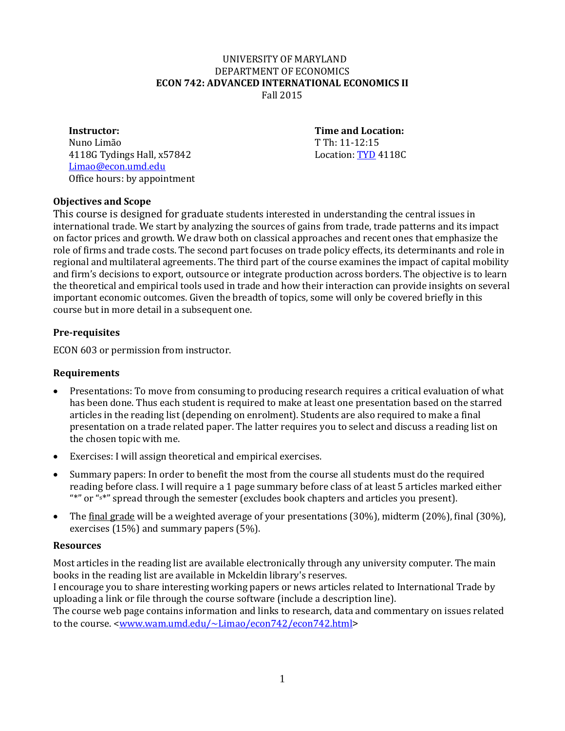#### **S**UNIVERSITY OF MARYLAND DEPARTMENT OF ECONOMICS **ECON 742: ADVANCED INTERNATIONAL ECONOMICS II** Fall 2015

#### **Instructor:**

Nuno Limão 4118G Tydings Hall,  $x57842$ [Limao@econ.umd.edu](mailto:Limao@econ.umd.edu) Office hours: by appointment **Time and Location:**  T Th: 11-12:15<br>Location: TYD 4118C

# **Objectives and Scope**

This course is designed for graduate students interested in understanding the central issues in international trade. We start by analyzing the sources of gains from trade, trade patterns and its impact on factor prices and growth. We draw both on classical approaches and recent ones that emphasize the role of firms and trade costs. The second part focuses on trade policy effects, its determinants and role in regional and multilateral agreements. The third part of the course examines the impact of capital mobility and firm's decisions to export, outsource or integrate production across borders. The objective is to learn the theoretical and empirical tools used in trade and how their interaction can provide insights on several important economic outcomes. Given the breadth of topics, some will only be covered briefly in this course but in more detail in a subsequent one.

# **Pre-requisites**

ECON 603 or permission from instructor.

# **Requirements**

- Presentations: To move from consuming to producing research requires a critical evaluation of what has been done. Thus each student is required to make at least one presentation based on the starred articles in the reading list (depending on enrolment). Students are also required to make a final presentation on a trade related paper. The latter requires you to select and discuss a reading list on the chosen topic with me.
- Exercises: I will assign theoretical and empirical exercises.
- Summary papers: In order to benefit the most from the course all students must do the required reading before class. I will require a 1 page summary before class of at least 5 articles marked either "\*" or "s\*" spread through the semester (excludes book chapters and articles you present).
- The final grade will be a weighted average of your presentations (30%), midterm (20%), final (30%), exercises (15%) and summary papers (5%).

## **Resources**

Most articles in the reading list are available electronically through any university computer. The main books in the reading list are available in Mckeldin library's reserves.

I encourage you to share interesting working papers or news articles related to International Trade by uploading a link or file through the course software (include a description line).

The course web page contains information and links to research, data and commentary on issues related to the course. [<www.wam.umd.edu/~Limao/econ742/econ742.html>](http://www.wam.umd.edu/%7ELimao/econ742/econ742.html)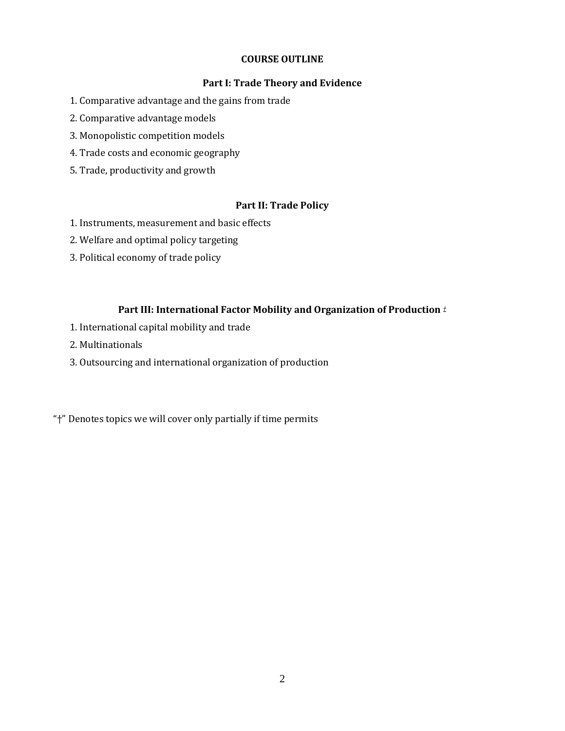#### **COURSE OUTLINE**

### **Part I: Trade Theory and Evidence**

- 1. Comparative advantage and the gains from trade
- 2. Comparative advantage models
- 3. Monopolistic competition models
- 4. Trade costs and economic geography
- 5. Trade, productivity and growth

## **Part II: Trade Policy**

- 1. Instruments, measurement and basic effects
- 2. Welfare and optimal policy targeting
- 3. Political economy of trade policy

### **Part III: International Factor Mobility and Organization of Production** *†*

- 1. International capital mobility and trade
- 2. Multinationals
- 3. Outsourcing and international organization of production

"†" Denotes topics we will cover only partially if time permits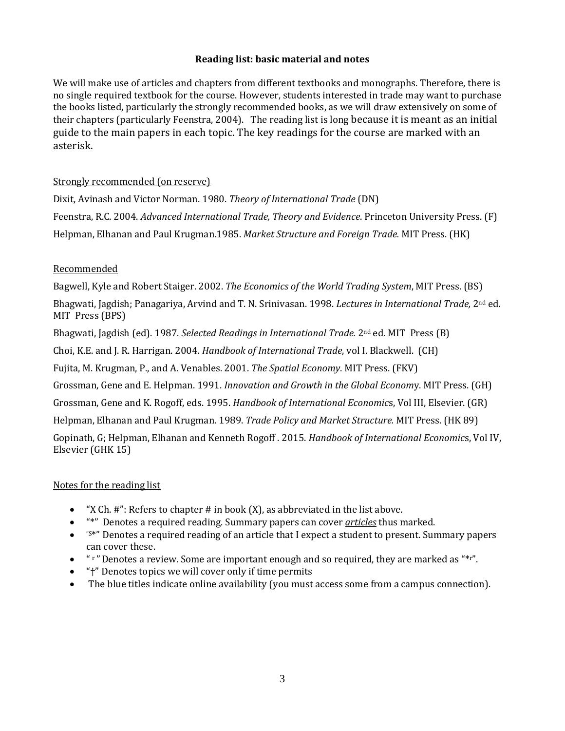## **Reading list: basic material and notes**

We will make use of articles and chapters from different textbooks and monographs. Therefore, there is no single required textbook for the course. However, students interested in trade may want to purchase the books listed, particularly the strongly recommended books, as we will draw extensively on some of their chapters (particularly Feenstra, 2004). The reading list is long because it is meant as an initial guide to the main papers in each topic. The key readings for the course are marked with an asterisk.

## Strongly recommended (on reserve)

Dixit, Avinash and Victor Norman. 1980. *Theory of International Trade* (DN) Feenstra, R.C. 2004. *Advanced International Trade, Theory and Evidence*. Princeton University Press. (F) Helpman, Elhanan and Paul Krugman.1985. *Market Structure and Foreign Trade.* MIT Press. (HK)

## Recommended

Bagwell, Kyle and Robert Staiger. 2002. *The Economics of the World Trading System*, MIT Press. (BS)

Bhagwati, Jagdish; Panagariya, Arvind and T. N. Srinivasan. 1998. *Lectures in International Trade,* 2nd ed. MIT Press (BPS)

Bhagwati, Jagdish (ed). 1987. *Selected Readings in International Trade.* 2nd ed. MIT Press (B)

Choi, K.E. and J. R. Harrigan. 2004. *Handbook of International Trade*, vol I. Blackwell. (CH)

Fujita, M. Krugman, P., and A. Venables. 2001. *The Spatial Economy*. MIT Press. (FKV)

Grossman, Gene and E. Helpman. 1991. *Innovation and Growth in the Global Econom*y. MIT Press. (GH)

Grossman, Gene and K. Rogoff, eds. 1995. *Handbook of International Economic*s, Vol III, Elsevier. (GR)

Helpman, Elhanan and Paul Krugman. 1989. *Trade Policy and Market Structure.* MIT Press. (HK 89)

Gopinath, G; Helpman, Elhanan and Kenneth Rogoff . 2015. *Handbook of International Economic*s, Vol IV, Elsevier (GHK 15)

### Notes for the reading list

- "X Ch.  $\#$ ": Refers to chapter  $\#$  in book  $(X)$ , as abbreviated in the list above.
- "\*" Denotes a required reading. Summary papers can cover *articles* thus marked.
- "S\*" Denotes a required reading of an article that I expect a student to present. Summary papers can cover these.
- $\bullet$  "  $\cdot$  "  $\cdot$  " Denotes a review. Some are important enough and so required, they are marked as " $\cdot\cdot\cdot$ ".
- "†" Denotes topics we will cover only if time permits
- The blue titles indicate online availability (you must access some from a campus connection).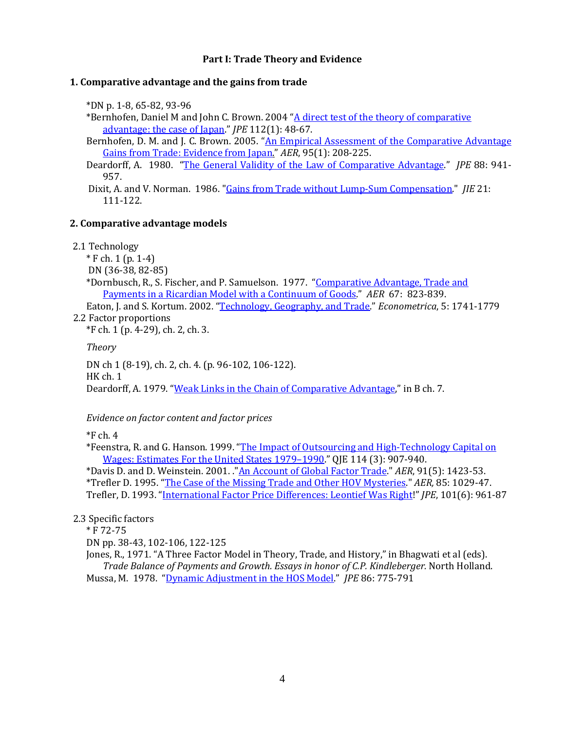### **Part I: Trade Theory and Evidence**

#### **1. Comparative advantage and the gains from trade**

\*DN p. 1-8, 65-82, 93-96

\*Bernhofen, Daniel M and John C. Brown. 2004 "A direct test of the theory of comparative [advantage: the case of Japan."](http://www.jstor.org/stable/3555193) *JPE* 112(1): 48-67.

Bernhofen, D. M. and J. C. Brown. 2005. "An Empirical Assessment of the Comparative Advantage [Gains from Trade: Evidence from Japan."](doi:10.1257/0002828053828491) *AER*, 95(1): 208-225.

Deardorff, A. 1980. ["The General Validity of the Law of Comparative Advantage."](http://www.jstor.org/stable/1833142) *JPE* 88: 941- 957.

Dixit, A. and V. Norman. 1986. "Gains from Trade without Lump-Sum Compensation." *JIE* 21: 111-122.

#### **2. Comparative advantage models**

2.1 Technology

\* F ch. 1 (p. 1-4)

DN (36-38, 82-85)

\*Dornbusch, R., S. Fischer, and P. Samuelson. 1977. "Comparative Advantage, Trade and [Payments in a Ricardian Model with a Continuum of Goods."](http://www.jstor.org/stable/1828066) *AER* 67: 823-839.

Eaton, J. and S. Kortum. 2002. ["Technology, Geography, and Trade.](http://www.jstor.org/stable/3082019)" *Econometrica*, 5: 1741-1779 2.2 Factor proportions

\*F ch. 1 (p. 4-29), ch. 2, ch. 3.

*Theory*

DN ch 1 (8-19), ch. 2, ch. 4. (p. 96-102, 106-122). HK ch. 1 Deardorff, A. 1979. "Weak Links in the Chain of Comparative Advantage," in B ch. 7.

*Evidence on factor content and factor prices* 

 $*F$  ch. 4

\*Feenstra, R. and G. Hanson. 1999. ["The Impact of Outsourcing and High-Technology Capital on](http://qje.oxfordjournals.org/content/114/3/907.full.pdf+html)  [Wages: Estimates For the United States 1979–1990.](http://qje.oxfordjournals.org/content/114/3/907.full.pdf+html)" QJE 114 (3): 907-940.

\*Davis D. and D. Weinstein. 2001. .["An Account of Global Factor Trade."](http://www.e-aer.org/archive/9105/91051423.pdf) *AER*, 91(5): 1423-53. \*Trefler D. 1995. ["The Case of the Missing Trade and Other HOV Mysteries.](http://www.jstor.org/stable/2950973)" *AER,* 85: 1029-47. Trefler, D. 1993. ["International Factor Price Differences: Leontief Was Right!](http://www.jstor.org/stable/2138568)" *JPE*, 101(6): 961-87

2.3 Specific factors

\* F 72-75

DN pp. 38-43, 102-106, 122-125

Jones, R., 1971. "A Three Factor Model in Theory, Trade, and History," in Bhagwati et al (eds). *Trade Balance of Payments and Growth. Essays in honor of C.P. Kindleberger.* North Holland. Mussa, M. 1978. ["Dynamic Adjustment in the HOS Model.](http://www.jstor.org/stable/1828409)" *JPE* 86: 775-791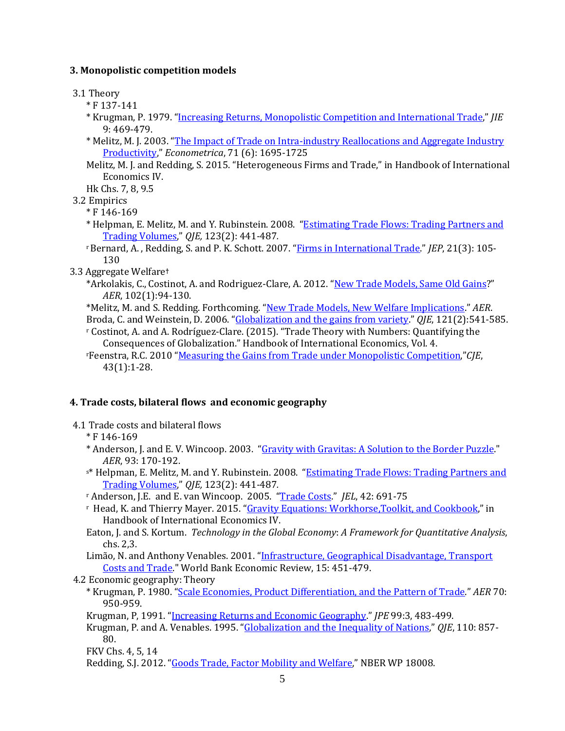## **3. Monopolistic competition models**

3.1 Theory

- \* F 137-141
- \* Krugman, P. 1979. "Increasing Returns, Monopolistic Competition and International Trade," *JIE* 9: 469-479.
- \* Melitz, M. J. 2003. ["The Impact of Trade on Intra-industry Reallocations and Aggregate Industry](http://www.jstor.org/stable/1555536)  [Productivity,](http://www.jstor.org/stable/1555536)" *Econometrica*, 71 (6): 1695-1725
- Melitz, M. J. and Redding, S. 2015. "Heterogeneous Firms and Trade," in Handbook of International Economics IV.

Hk Chs. 7, 8, 9.5

3.2 Empirics

\* F 146-169

- \* Helpman, E. Melitz, M. and Y. Rubinstein. 2008. ["Estimating Trade Flows: Trading Partners and](http://www.mitpressjournals.org/doi/pdfplus/10.1162/qjec.2008.123.2.441?cookieSet=1)  [Trading Volumes,](http://www.mitpressjournals.org/doi/pdfplus/10.1162/qjec.2008.123.2.441?cookieSet=1)" *QJE,* 123(2): 441-487*.*
- r Bernard, A. , Redding, S. and P. K. Schott. 2007. ["Firms in International Trade."](http://www.som.yale.edu/Faculty/pks4/files/research/papers/jep_029.pdf) *JEP*, 21(3): 105- 130
- 3.3 Aggregate Welfare**†**
	- \*Arkolakis, C., Costinot, A. and Rodriguez-Clare, A. 2012. ["New Trade Models, Same Old Gains?](http://dx.doi.org/10.1257/aer.102.1.94.94)" *AER*, 102(1):94-130.
	- \*Melitz, M. and S. Redding. Forthcoming. ["New Trade Models, New Welfare Implications."](http://scholar.harvard.edu/files/melitz/files/hhgft_012514_figs.pdf) *AER*. Broda, C. and Weinstein, D. 2006. ["Globalization and the gains from variety.](http://qje.oxfordjournals.org/content/121/2/541.full.pdf+html)" *QJE*, 121(2):541-585.
	- <sup>r</sup> Costinot, A. and A. Rodríguez-Clare. (2015). "Trade Theory with Numbers: Quantifying the Consequences of Globalization." Handbook of International Economics, Vol. 4.
	- rFeenstra, R.C. 2010 ["Measuring the Gains from Trade under Monopolistic Competition,"](http://onlinelibrary.wiley.com/doi/10.1111/j.1540-5982.2009.01577.x/pdf)*CJE*, 43(1):1-28.

## **4. Trade costs, bilateral flows and economic geography**

- 4.1 Trade costs and bilateral flows
	- \* F 146-169
	- \* Anderson, J. and E. V. Wincoop. 2003. ["Gravity with Gravitas: A Solution to the Border Puzzle."](http://www.nber.org/papers/w8079) *AER*, 93: 170-192.
	- s\* Helpman, E. Melitz, M. and Y. Rubinstein. 2008. "Estimating Trade Flows: Trading Partners and [Trading Volumes,](http://www.mitpressjournals.org/doi/pdfplus/10.1162/qjec.2008.123.2.441?cookieSet=1)" *QJE,* 123(2): 441-487*.*
	- <sup>r</sup> Anderson, J.E. and E. van Wincoop. 2005. ["Trade Costs.](http://www.jstor.org/stable/3217249)" *JEL*, 42: 691-75
	- <sup>r</sup> Head, K. and Thierry Mayer. 2015. ["Gravity Equations: Workhorse,Toolkit, and Cookbook,](http://www.sciencedirect.com/science/article/pii/B9780444543141000033)" in Handbook of International Economics IV.
	- Eaton, J. and S. Kortum. *Technology in the Global Economy*: *A Framework for Quantitative Analysis*, chs. 2,3.
	- Limão, N. and Anthony Venables. 2001. "Infrastructure, Geographical Disadvantage, Transport [Costs and Trade.](http://wber.oupjournals.org/cgi/reprint/15/3/451.pdf)" World Bank Economic Review, 15: 451-479.
- 4.2 Economic geography: Theory
	- \* Krugman, P. 1980. ["Scale Economies, Product Differentiation, and the Pattern of Trade.](http://www.jstor.org/stable/1805774)" *AER* 70: 950-959.
	- Krugman, P, 1991. ["Increasing Returns and Economic Geography.](http://www.jstor.org/stable/2937739)" *JPE* 99:3, 483-499.
	- Krugman, P. and A. Venables. 1995. ["Globalization and the Inequality of Nations,](http://www.jstor.org/stable/2946642)" *QJE*, 110: 857- 80.
	- FKV Chs. 4, 5, 14
	- Redding, S.J. 2012. ["Goods Trade, Factor Mobility and Welfare,](https://www.princeton.edu/%7Ereddings/papers/NBERWP18008.pdf)" NBER WP 18008.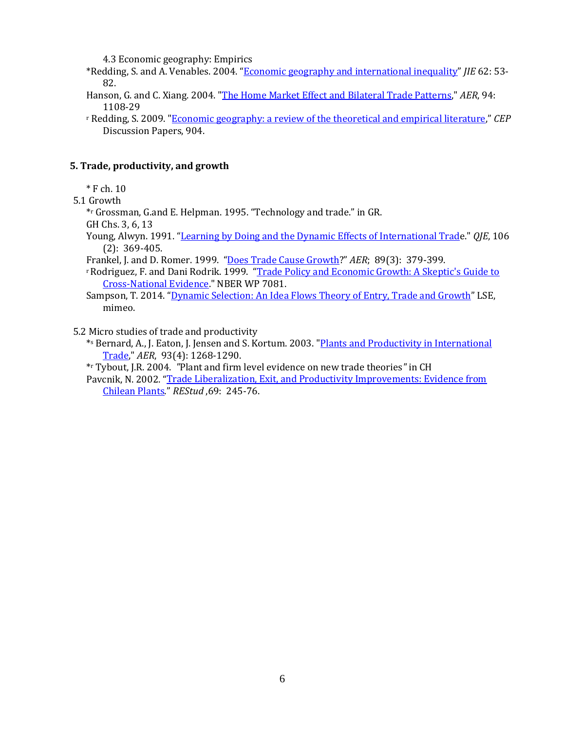4.3 Economic geography: Empirics

- \*Redding, S. and A. Venables. 2004. ["Economic geography and international inequality"](http://dx.doi.org/10.1016/j.jinteco.2003.07.001) *JIE* 62: 53- 82.
- Hanson, G. and C. Xiang. 2004. ["The Home Market Effect and Bilateral Trade Patterns,"](http://www.jstor.org/stable/3592807) *AER*, 94: 1108-29
- <sup>r</sup> Redding, S. 2009. ["Economic geography: a review of the theoretical and empirical literature,"](http://eprints.lse.ac.uk/25500/1/Economic_Geography_A_Review_of_the_Theoretical_and_Empirical_Literature.pdf) *CEP* Discussion Papers, 904.

### **5. Trade, productivity, and growth**

 $*$  F ch. 10

5.1 Growth

- \*r Grossman, G.and E. Helpman. 1995. "Technology and trade." in GR.
- GH Chs. 3, 6, 13
- Young, Alwyn. 1991. "Learning [by Doing and the Dynamic Effects of International Trade](http://links.jstor.org/sici?sici=0033-5533%28199105%29106%3A2%3C369%3ALBDATD%3E2.0.CO%3B2-Y)." *QJE*, 106 (2): 369-405.
- Frankel, J. and D. Romer. 1999. ["Does Trade Cause Growth?](http://www.e-aer.org/archive/8903/89030379.pdf)" *AER*; 89(3): 379-399.
- r Rodriguez, F. and Dani Rodrik. 1999. ["Trade Policy and Economic Growth: A Skeptic](http://www.nber.org/papers/w7081)'s Guide to [Cross-National Evidence."](http://www.nber.org/papers/w7081) NBER WP 7081.
- Sampson, T. 2014. ["Dynamic Selection: An Idea Flows Theory of Entry, Trade and Growth"](http://personal.lse.ac.uk/sampsont/TradeGrowth.pdf) LSE, mimeo.

5.2 Micro studies of trade and productivity

- \*s Bernard, A., J. Eaton, J. Jensen and S. Kortum. 2003. ["Plants and Productivity in International](http://web21.epnet.com.proxy-um.researchport.umd.edu/externalframe.asp?tb=1&_ug=sid+4679067E%2D2621%2D445B%2DB93A%2D31D5E405EFDB%40sessionmgr6+dbs+ecn+cp+1+4409&_us=frn+1+hd+False+hs+False+or+Date+fh+False+ss+SO+sm+ES+sl+%2D1+dstb+ES+mh+1+ri+KAAACBRC000378)  [Trade,"](http://web21.epnet.com.proxy-um.researchport.umd.edu/externalframe.asp?tb=1&_ug=sid+4679067E%2D2621%2D445B%2DB93A%2D31D5E405EFDB%40sessionmgr6+dbs+ecn+cp+1+4409&_us=frn+1+hd+False+hs+False+or+Date+fh+False+ss+SO+sm+ES+sl+%2D1+dstb+ES+mh+1+ri+KAAACBRC000378) *AER*, 93(4): 1268-1290.
- \*r Tybout, J.R. 2004. *"*Plant and firm level evidence on new trade theories*"* in CH
- Pavcnik, N. 2002. ["Trade Liberalization, Exit, and Productivity Improvements: Evidence from](http://www.jstor.org/stable/2695960)  [Chilean Plants."](http://www.jstor.org/stable/2695960) *REStud* ,69: 245-76.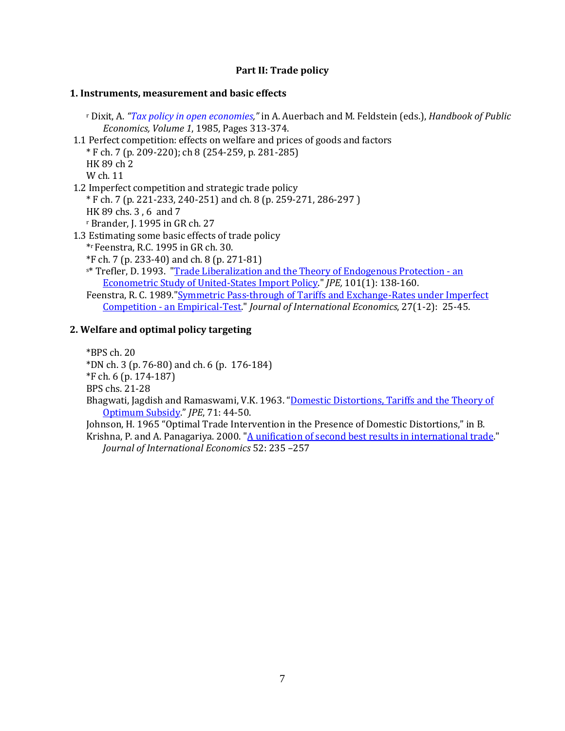## **Part II: Trade policy**

#### **1. Instruments, measurement and basic effects**

<sup>r</sup> Dixit, A. *"Tax policy in open economies,"* in A. Auerbach and M. Feldstein (eds.), *Handbook of Public Economics, Volume 1*, 1985, Pages 313-374. 1.1 Perfect competition: effects on welfare and prices of goods and factors \* F ch. 7 (p. 209-220); ch 8 (254-259, p. 281-285) HK 89 ch 2 W ch. 11 1.2 Imperfect competition and strategic trade policy \* F ch. 7 (p. 221-233, 240-251) and ch. 8 (p. 259-271, 286-297 ) HK 89 chs. 3 , 6 and 7 <sup>r</sup> Brander, J. 1995 in GR ch. 27 1.3 Estimating some basic effects of trade policy \*r Feenstra, R.C. 1995 in GR ch. 30. \*F ch. 7 (p. 233-40) and ch. 8 (p. 271-81) s\* Trefler, D. 1993. ["Trade Liberalization and the Theory of Endogenous Protection -](http://links.jstor.org/sici?sici=0022-3808%28199302%29101%3A1%3C138%3ATLATTO%3E2.0.CO%3B2-O) an [Econometric Study of United-States Import Policy."](http://links.jstor.org/sici?sici=0022-3808%28199302%29101%3A1%3C138%3ATLATTO%3E2.0.CO%3B2-O) *JPE,* 101(1): 138-160. Feenstra, R. C. 1989."Symmetric Pass-through of Tariffs and Exchange-Rates under Imperfect Competition - an Empirical-Test." *Journal of International Economics*, 27(1-2): 25-45.

## **2. Welfare and optimal policy targeting**

\*BPS ch. 20 \*DN ch. 3 (p. 76-80) and ch. 6 (p. 176-184) \*F ch. 6 (p. 174-187) BPS chs. 21-28 Bhagwati, Jagdish and Ramaswami, V.K. 1963. ["Domestic Distortions, Tariffs and the Theory of](http://www.jstor.org/stable/1828374)  [Optimum Subsidy."](http://www.jstor.org/stable/1828374) *JPE*, 71: 44-50. Johnson, H. 1965 "Optimal Trade Intervention in the Presence of Domestic Distortions," in B. Krishna, P. and A. Panagariya. 2000. ["A unification of second best results in international trade.](http://dx.doi.org/10.1016/S0022-1996(99)00057-4)"

*Journal of International Economics* 52: 235 –257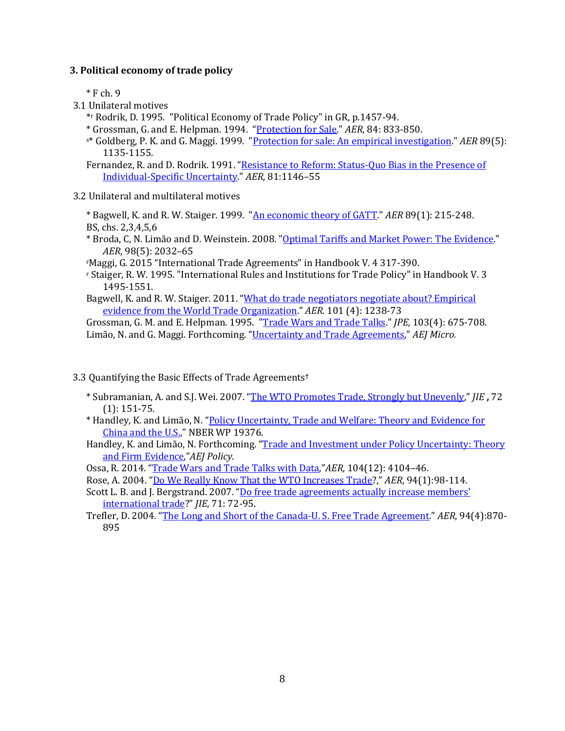### **3. Political economy of trade policy**

 $*$  F ch. 9

- 3.1 Unilateral motives
	- \*r Rodrik, D. 1995. "Political Economy of Trade Policy" in GR, p.1457-94.
	- \* Grossman, G. and E. Helpman. 1994. ["Protection for Sale.](http://links.jstor.org/sici?sici=0002-8282%28199409%2984%3A4%3C833%3APFS%3E2.0.CO%3B2-Y)" *AER*, 84: 833-850.
	- s\* Goldberg, P. K. and G. Maggi. 1999. ["Protection for sale: An empirical investigation."](http://links.jstor.org/sici?sici=0002-8282%28199912%2989%3A5%3C1135%3APFSAEI%3E2.0.CO%3B2-D) *AER* 89(5): 1135-1155.

Fernandez, R. and D. Rodrik. 1991. ["Resistance to Reform: Status-Quo Bias in the Presence of](http://links.jstor.org/sici?sici=0002-8282%28199112%2981%3A5%3C1146%3ARTRSQB%3E2.0.CO%3B2-R)  [Individual-Specific Uncertainty."](http://links.jstor.org/sici?sici=0002-8282%28199112%2981%3A5%3C1146%3ARTRSQB%3E2.0.CO%3B2-R) *AER,* 81:1146–55

### 3.2 Unilateral and multilateral motives

\* Bagwell, K. and R. W. Staiger. 1999. ["An economic theory of GATT.](http://links.jstor.org/sici?sici=0002-8282%28199903%2989%3A1%3C215%3AAETOG%3E2.0.CO%3B2-E)" *AER* 89(1): 215-248. BS, chs. 2,3,4,5,6

\* Broda, C, N. Limão and D. Weinstein. 2008. ["Optimal Tariffs and Market Power: The Evidence.](http://www.aeaweb.org/atypon.php?return_to=/doi/pdfplus/10.1257/aer.98.5.2032)" *AER*, 98(5): 2032–65

rMaggi, G. 2015 "International Trade Agreements" in Handbook V. 4 317-390.

<sup>r</sup> Staiger, R. W. 1995. "International Rules and Institutions for Trade Policy" in Handbook V. 3 1495-1551.

Bagwell, K. and R. W. Staiger. 2011. "What do trade negotiators negotiate about? Empirical [evidence from the World Trade Organization.](http://www.nber.org/papers/w12727)" *AER.* 101 (4): 1238-73

Grossman, G. M. and E. Helpman. 1995. ["Trade Wars and Trade Talks.](http://links.jstor.org/sici?sici=0022-3808%28199508%29103%3A4%3C675%3ATWATT%3E2.0.CO%3B2-T)" *JPE,* 103(4): 675-708. Limão, N. and G. Maggi. Forthcoming. ["Uncertainty and Trade Agreements,"](http://www.nber.org/papers/w18703) *AEJ Micro.*

### 3.3 Quantifying the Basic Effects of Trade Agreements**†**

- \* Subramanian, A. and S.J. Wei. 2007. ["The WTO Promotes Trade, Strongly but Unevenly,"](http://dx.doi.org/10.1016/j.jinteco.2006.07.007) *JIE* **,** 72 (1): 151-75.
- \* Handley, K. and Limão, N. ["Policy Uncertainty, Trade and Welfare: Theory and Evidence for](http://terpconnect.umd.edu/%7Elimao/handley_limao_china_us.pdf)  [China and the U.S.,"](http://terpconnect.umd.edu/%7Elimao/handley_limao_china_us.pdf) NBER WP 19376.
- Handley, K. and Limão, N. Forthcoming. ["Trade and Investment under Policy Uncertainty: Theory](http://www.wam.umd.edu/%7Elimao/tpu_final.pdf)  [and Firm Evidence,"](http://www.wam.umd.edu/%7Elimao/tpu_final.pdf)*AEJ Policy*.
- Ossa, R. 2014. ["Trade Wars and Trade Talks with Data,](http://www.nber.org/papers/w17347)"*AER,* 104(12): 4104–46.
- Rose, A. 2004. ["Do We Really Know That the WTO Increases Trade?](http://www.jstor.org/stable/3592771)," *AER*, 94(1):98-114.
- Scott L. B. and J. Bergstrand. 2007. ["Do free trade agreements actually increase members](http://dx.doi.org/10.1016/j.jinteco.2006.02.005)' [international trade?](http://dx.doi.org/10.1016/j.jinteco.2006.02.005)" *JIE*, 71: 72-95.
- Trefler, D. 2004. ["The Long and Short of the Canada-U. S. Free Trade Agreement."](http://www.jstor.org/stable/3592797) *AER*, 94(4):870- 895